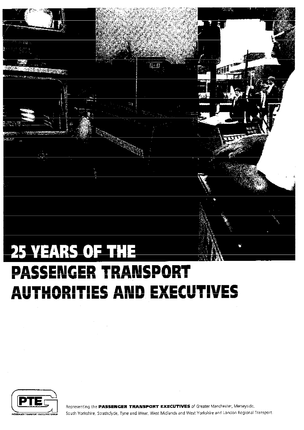

# **PASSENGER TRANSPORT** ............ ~ .. ~ .. ·· ............ .-- ..... . **AUTHORITIES AND EXECUTIVES**



Representing the PASSENGER TRANSPORT EXECUTIVES of Greater Manchester, Merseyside, South Yorkshire, Strathclyde, Tyne and Wear, West Midlands and West Yorkshire and London Regional Transport.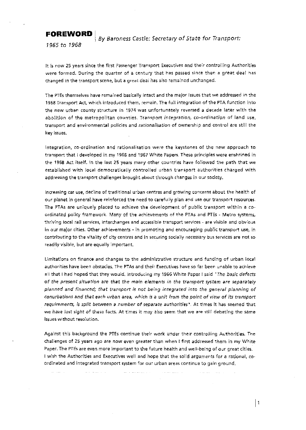**FOREWORD**  $\Big|$  By Baroness Castle: Secretary of State for Transport:

1965 *to* 1968

it is now 25 years since the first Passenger Transport Executives and their controlling Authorities were formed. During the quarter of a century that has passed since then a great deal ha< changed in the transport scene, but a great deal has also remained unchanged.

The PTEs themselves have remained basically intact and the major issues that we addressed in the 1968 Transport Act. which introduced them, remain, The full integration of the PTA function into the new urban county structure in 1974 was unfortunately reversed a decade later with the abolition of the metropolitan counties. Transport *integration, co-ordination* of land use, transport and environmental policies and *rationalisation* of ownership and control are still the key issues..

Integration, co-ordination and rationalisation were the keystones of the new approach to transport that I developed in my 1966 and 1967 White Papers. These principles were enshrined in the 1968 Act itself. In the last 25 years many other countries have followed the path that we established with loco! democratically controlled urban transport authorities charged with addressing the transport challenges brought about through changes in our society.

Increasing car use, decline of traditional urban centres and growing concerns about the health of our planet in general have reinforced the need to carefully plan and use our transport resources, The PTAs are uniquely placed to achieve the development of public transport within a coordinated policy framework. Many of the achievements of the PTAs and PTEs - Metro systems, thriving local rail services, interchanges and accessible transport services - are visible and obvious in our major cities. Other achievements - in promoting and encouraging public transport use, in contributing to the vitality of city centres and in securing socially necessary bus services are not so readily visible, but are equally important.

Limitations on finance and changes to the administrative structure and funding of urban local authorities have been obstacles. The PTAs and their Executives have so far been unable to achieve all that I had hoped that they would. Introducing my 1966 White Paper I said "The basic defects of the present situation are that the main elements in the transport system are separately planned and financed; that transport is not being integrated into the general planning of conurbations and that each urban area, which is a unit from the point of view of its transport *requirements, is split between a number of separate authorities".* At times it has seemed that we have lost sight of these facts. At times it may also seem that we are still debating the same issues without resolution.

Against this background the PTEs continue their work under their controlling Authorities. The challenges of 25 years ago are now even greater than when I first addressed them in my White Paper. The PTEs are even more important to the future health and weli-being of our great cities. I wish the Authorities and Executives well and hope that the solid arguments for a rational, coordinated and integrated transport system for our urban areas continue to gain ground.

a series and a series

and the more more and the

and the company

 $\vert$  1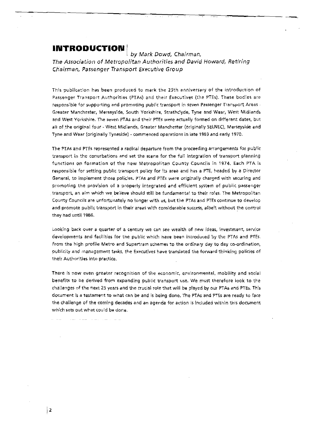# **INTRODUCTION** [

by Mark Dowd, Chairman, The Association of Metropolitan Authorities and David Howard, Retiring Chairman, Passenger Transport Executive Group

--

!

This publication has been produced to mark the 25th anniversary of the introduction of Passenger Transport Authorities (PTAs) and their Executives (the PTEs). These bodies are responsible for supporting and promoting public transport in seven Passenger Transport Areas -Greater Manchester, Merseyside, South Yorkshire, Strathclyde, Tyne and Wear, West Midlands **and West Yorkshire. The seven PT As and their PTEs were actually formed on different dates, but**  all of the original four - West Midlands, Greater Manchester (originally SELNEC), Merseyside and Tyne and Wear (originally Tyneside) -commenced operations in late 1969 and early 1970.

The PTA< and PTEs represented a radical departure from the proceeding arrangements for public transport in the conurbations and set the scene for the full integration of transport planning functions on formation of the new Metropolitan County Councils in 1974. Each PTA is responsible for setting public transport policy for its area and has a PTE, headed by a Director General, to implement those policies. PTAs and PTEs were originally charged with securing and promoting the provision of a properly integrated and efficient system of public passenger transport, an aim which we believe should still be fundamental to their roles. The Metropolitan County Councils are unfortunately no longer with us, but the PTAs and PTEs continue to develop and promote public transport in their areas with considerable success, albeit without the control they had until 1986.

Looking back over a quarter of a century we can see wealth of new ideas, investment, service **developments and facilities for the public: which have been introduced by the PT As and PTEs.**  from the high profile Metro and Supertram schemes to the ordinary day to day co-ordination, publicity and *management tasks, the Executives have translated the forward thinking policies of* their Authorities into practice.

There is now even greater recognition of the economic, environmental, mobility and social benefits to be derived from expanding public transport use. We must therefore look to the challenges of the next 25 years and the crucial role that will be played by our PTAs and PTEs. This document is a testament to what can be and is being done. The PTAs and PTEs are ready to face the challenge of the coming decades and an agenda for action is included within this document **which sets out what could be done.** 

|2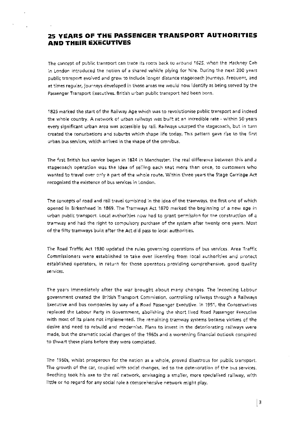# **25 YEARS OF THE PASSENGER TRANSPORT AUTHORITIES AND THE:IR EXECUTiVES**

The concept of public transport can trace its roots back to around 1625, when the Hackney Cab in London introduced the notion of a shared vehide plying for hire. During the next 200 years public transport evolved and grew to include longer distance stagecoach journeys. Frequent, and at times regular, journeys developed in those areas we would now identify as being served by the Passenger Transport Executives. British urban public transport had been born.

1825 marked the start of the Railway Age which was to revolutionise public transport and indeed th~ **whoie country. A network of uiban railways** \~.Ja:s **buia at an incredible rate- within 50 years every significant urban area was accessible by raiL R.;tilways usurped the stagecoach, but in turn**  created the conurbations and suburbs which shape life today. Thts pattern gave rise to the first urban bus services, which arrived in the shape of the omnibus.

The first British bus service began in 1824 in Manchester. The real difference between this and a stagecoach operation was the idea of selling each seat more than once, to customers who **Yvar.ted to trave! over on,y a part of the whole route. Within three years the Stage Carriage Act recognized the existence of bus. servkes in London.** 

The concepts of road and rail travel combined in the idea of the tramways, the first one of which opened in Birkenhead in 1869. The Tramways Act 1870 marked the beginning of a new age in urban public transport. Locai authorities now had to grant permission for the construction of a tramway and had the right to compulsory purchase of the system after twenty one years. Most of the fifty tramways built after the Act did pass to local authorities.

The Road Traffic Act 1930 updated the rules governing operations of bus services. Area Traffic **Commissioners. were established to take over licensing from locai authorities. and protect**  established operators, in return for those operators providing comprehensive, good quality services.

**The years immediately after the war brought about many changes. The incoming Labour**  government created the British Transport Commission, controlling railways through a Railways **Exe-cutive and bus companies by way of a Road Passenger Executive. ln 1951, the Conservatives replaced the Labour Party in Government, abolishing the short lived Road Passenger Executive**  with most of its plans not implemented. The remaining tramway systems became victims of the desire and need to rebuild and modernise. Plans to invest in the deteriorating railways were made, but the dramatic social changes of the 1960s and a worsening financial outlook conspired to thwart these plans before they were completed.

The 1960s, whilst prosperous for the nation as a whole, proved disastrous for public transport. **The growth of the car, coupled with social changes, led to the deterioration of the bus services.**  Beeching took his axe to the rail network, envisaging a smaller, more specialised railway, with little or no regard for any social role a comprehensive network might play.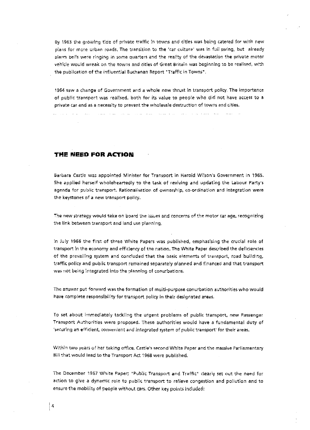**By 1963 the grovving tide of private traffic in towns and cities was being catered for with new**  pla~s for more urban roads. The transition to the 'car culture' was in full swing. but already alarm bells were ringing in some quarters and the reality of the devastation the private motor vehicle would wreak on the towns and cities of Great Britain was beginning to be realised, with the publication of the influential Buchanan Report "Traffic in Towns".

1964 saw a change of Government and a whole new thrust in transport policy. The importance **of publk** tran~port **was realised, both for its value to people who did not have access to a private car and as a necessity to prevent the wholesale destruction of towns and cities.** 

and the state of

**THE NEED FOR ACTION** 

and a series of the series.

**Contract Contract State** 

Barbara Castle was appointed Minister for Transport in Harold Wilson's Government in 1965. She applied herself wholeheartedly to the task of reviving and updating the Labour Party's agenda for public transport. Rationalisation of ownership, co-ordination and integration were the key5tones of a new transport policy.

The new strategy would take on board the *issues* and concerns of the motor car age, recognizing the link between transport and land use planning.

In July 1966 the first of three White Papers was published. empha5ising the crucial role of transport in the economy and efficiency of the nation. The White Paper described the deficiencie5 **of the prevailing system and concluded that the basic elements of transport, road building,** traffic policy and public transport remained separately planned and financed and that transport **wa5- not being integrated into the planning of conurbation\$.** 

The answer put forward was the formation of multi-purpose conurbation authorities who would have complete responsibility for tramport policy in their designated areas.

To set about immediately tackling the urgent problems of public transport, new Passenger Transport Authorities were proposed. These authorities would have a fundamental duty of 'securing an efficient, convenient and integrated system of public transport' for their areas.

**Within two years. of her taking office, Ca5tle's second White Paper and the massive Parliamentary**  Bill that would lead to the Transport Act 1968 were published.

The December 1967 White Paper; "Public Transport and Traffic" clearly set out the need for action to give a dynamic role to public transport to relieve congestion and pollution and to **ensure the mobility of people without cars. Other key points included:**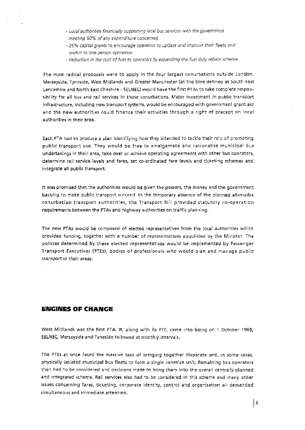- <sup>~</sup>Local *authoritic5* financial.~' *supportirog* Jocai bus seNiccs with the gmternmcnt meeting 50% of any expenditure concerned.
- ~ 25~10 capital grants to encourage oper?Jtors 10 update cmd impru•.;e *thelr* fleets and switch to one person operation.
- Reduction in the cost of fuel to operators by expanding the fuel duty rebate scheme.

The most radical proposals were to apply in the four largest conurbations outside London. Merseyside. Tyneside, West Midlands and Greater Manchester (at the time defined as South East Lancashire and North East Cheshire- SELNEC) would have the first PT As to take complete respon-5ibility for all bus and rail services in those conurbations. Major investment in public transport infrastructure, including new transport systems, would be encouraged with government grant aid and the new authorities could finance their activities through a right of precept on local authorities in their area.

Each PTA had to produce a pian identifying how they intended to tackle their role of promoting public transport use. They would be free to amalgamate and rationalise municipal bus undertakings in their area, take over or achieve operating agreements with other bus operators, determine rail service levels and fares, set co-ordinated fare levels and ticketing schemes and integrate all public transport.

it was promised that the authorities would be given the powers, the money and the government backing to make public transport succeed. In the temporary absence of the planned all-modes conurbation transport authorities, the Transport Bill provided statutory co-operation requirements between the PTAs and highway authorities on traffic planning.

The new PTAs would be composed of elected representatives from the local authorities which provided funding. together with a number of representatives appointed by the Minister. The policies determined by these elected representatives would be implemented by Passenger Transport Executives (PTEs), bodies of professionals who would plan and manage public transport in thelr areas.

# **ENGINES OF CHANGE**

West Midlands was the first PTA. It, along with its PTE, came into being on 1 October 1969, SELNEC, Merseyside and Tyneside followed at monthly intervals.

The PTEs at once faced the massive task of bringing together disparate and, in some cases, physically isolated municipal bus fleets to form a single cohesive unit. Remaining bus operators then had to be considered and decisions made to bring them into the overall centrally-planned and integrated scheme. Rail services also had to be considered in this scheme and many other issues concerning fares, ticketing, corporate identity, control and organisation all demanded simultaneous and immediate attention.

Is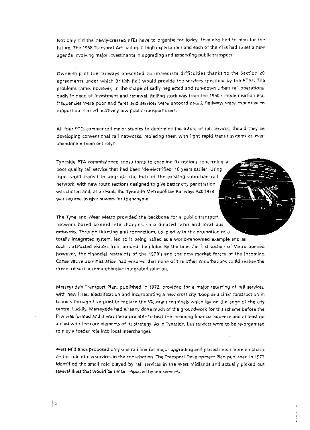Not on!y did the newly-created PTEs have to organise for today, they also had to plan for the future. The 1968 Transport Act had built high expectations and each of the PTEs had to set a new agenda involving major investments in upgrading and expanding public transport.

Ownership of the railways presented no immediate difficulties thanks to the Section 20 agreements under which British Rail would provide the services specified by the PTAs. The problems came, however, in the shape of sadly neglected and run-down urban rail operations, badly in need of investment and renewal. Rolling stock was from the 1950's modernisation era, frequencies were poor and fares and services were uncoordinated. Railways were expensive to support but carried relatively few public transport users.

All four PTEs commenced major studies to determine the future of rail services; should they be developing conventional rail networks, replacing them with light rapid transit systems or even abandoning them entirely?

Tyneside PTA commissioned consultants to examine its options concerning a poor quality rail service that had been 'de-electrified' 10 years earlier. Using light rapid transit to upgrade the bulk of the existing suburban rail network, with new route sections designed to give better city penetration was chosen and, as a result, the Tyneside Metropolitan Railways Act 1973 was secured to give powers for the scheme.

The Tyne and Wear Metro provided the backbone for a public transport. network based around interchanges, co-ordinated fares and local bus networks. Through ticketing and connections, coupled with the promotion of a totally integrated system, led to it being hailed as a world-renowned example and as such it attracted visitors from around the globe. By the time the first section of Metro opened however, the financial restraints of the 1970's and the new market forces of the incoming Conservative administration had ensured that none of the other conurbations could realise the dream of such a comprehensive integrated solution.

Merseyside's Transport Plan, published in 1972, provided for a major recasting of rail services, with new lines, electrification and incorporating a new cross city 'Loop and Link' construction in tunnels through Liverpool to replace the Victorian terminals which lay on the edge of the city centre. Luckily, Merseyside had afready done much of the groundwork for this scheme before the PTA was formed and it was therefore able to beat the incoming financial squeeze and at least go ahead with the core elements of its strategy. As in Tyneside, bus services were to be re-organised to play a feeder role into local interchanges.

West Midlands proposed only one rail line for major upgrading and placed much more emphasis on the role of bus services in the conurbation. The Transport Development Plan published in 1972 identified the small role played by rail services in the West Midlands and actually picked out several lines that would be better replaced by bus services.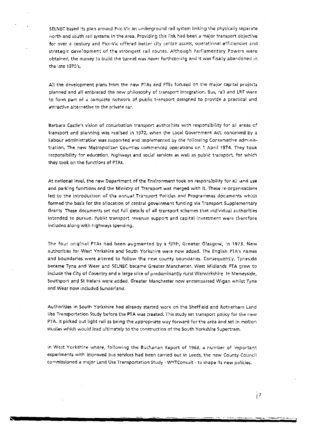SELNEC based its plan around Picc-Vic an underground rail system linking the physically separate north and south rail systems in the area. Providing this link had been a major transport objective for over a century and Picc-Vic offered better city centre access, operational efficiencies and strategic development of the strongest rail routes. Although Parliamentary Powers were obtained, the money to build the tunnel was never forthcoming and it was finally abandoned in the late 1970's.

All the development plans from the new PTAs and PTEs focused on the major capital projects planned and all embraced the new philosophy of transport integration. Bus, rail and LRT were **to forrn part of a complete network of public transport designed to provide a practical and attractive alternative to the private car.** 

**Barbara Castie1 S vision of conurbation transport authorities with responsibility for all areas of**  transport and planning was realised in 1972, when the Local Government Act, conceived by a Labour administration was supported and implemented by the following Conservative administration. The new Metropolitan Counties commenced operations on 1 April 1974. They took responsibility for education, highways and social services as well as public transport, for which they took on the functions of PTAs.

At national level, the new Department of the Environment took on responsibility for aii land use and parking functions and the Ministry of Transport was merged with it. These re-organisations led to the introduction of the annual Transport Policies and Programmes documents which formed the basis for the allocation of central government funding via Transport Supplementary Grants. These documents set out full details of all transport schemes that individual authorities intended to pursue. Public transport revenue support and capital investment were therefore included along with highways spending.

The four original PTAs had been augmented by a fifth, Greater Glasgow, in 1973. New authorities for West Yorkshire and South Yorkshire were now added. The English PTA's names and boundaries were altered to follow the new county boundaries. Consequently, Tyneside became Tyne and Wear and SELNEC became Greater Manchester. West Midlands PTA grew to include the City of Coventry and a large silce of predominantly rural Warwickshire. In Merseyside, Southport and St Helens were added. Greater Manchester now encompassed Wigan whilst Tyne and Wear now included Sunderland.

Authorities in South Yorkshire had already started work on the Sheffield and Rotherham Land Use Transportation Study before the PTA was created. This study set transport policy for the new PTA. It picked out light rail as being the appropriate way forward for the area and set in motion stud~es **whkh wuuld** *lecui* **ultimately to the con5truction of the South Yorkshire Supertram.** 

**ln \''Jest Ycrks:hire where. following the Buchanan Report of 1963, a number of important**  experiments with improved bus services had been carried out in Leeds, the new County Council **commissioned a major Land Use Transportation Study- WYTConsult- to shape its new policies.**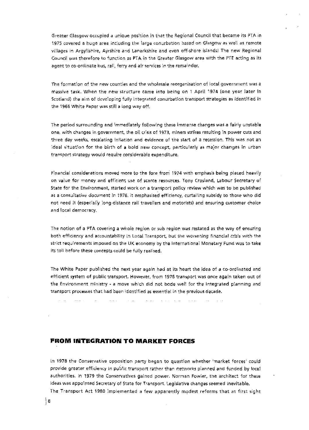Greater Glasgow O<cupied a unique position in that the Regional Council that became its PTA in 1975 covered a huge area including the large conurbation based on Glasgow as well as remote villages in Argyllshire, Ayrshire and Lanarkshire and even off-shore islands! The new Regional Council was therefore to function as PTA in the Greater Glasgow area with the PTE acting as its agent to co-ordinate bus, rail, ferry and air services in the remainder.

**The formation of the new counties and the wholesale reorganisation of iocai govemrnent was a**  massive task. When the new structure came into being on 1 April 1974 (one year later in Scotland) the aim of developing fully integrated conurbation transport strategies as identified in the 1966 White Paper was still a long way oft.

The period surrounding and immediately following these immense changes was a fairly unstable **one, with changes in government, the oil crisis of 1973, miners strikes resulting in power cuts and**  three day weeks, escalating inflation and evidence of the start of a recession. This was not an ideal situation for the birth of a bold new concept, particularly as major changes in urban transport strategy would require considerable expenditure.

Financial considerations moved more to the fore from 1974 with emphasis being placed heavily on value for money and efficient use of scarce resources. Tony Crosland, Labour Secretary of State for the Environment, started work on a transport policy review which was to be published **as a consultative document** *in* **1976 .. 1 t** emph~sis:ed **efficiency} curtai1ing \$ubsidy to those who did**  not need it (especially long-distance rail travellers and motorists) and ensuring customer choice and local democracy.

The notion of a PTA covering a whole region or sub region was restated as the way of ensuring both efficiency and accountability in Local Transport, but the worsening financial crisis with the strict requirements imposed on the UK economy by the International Monetary Fund was to take its toll before these concepts could be fully realised.

The White Paper published the next year again had at its heart the idea of *a* co-ordinated and efficient system of public transport. However, from 1976 transport was once again taken out of the Environment ministry - a move which did not bode well for the integrated planning and transport processes that had been identified as essential in the previous decade.

the company of the company of the company of the company of the company of the company of the company of the company of the company of the company of the company of the company of the company of the company of the company

# **FROM INTEGRATION TO MARKET FORCES**

 $\mathcal{L}_{\rm{max}}$ 

**Contractor** 

In 1978 the Conservative opposition party began to question whether 'market forces' could  $p$ rovide greater efficiency in public transport rather than networks planned and funded by local authorities. In 1979 the Conservatives gained power. Norman Fowler, the architect for these ideas was appointed Secretary of State for Transport. legislative changes seemed inevitable.

The Transport Act 1980 implemented a few apparently modest reforms that at first sight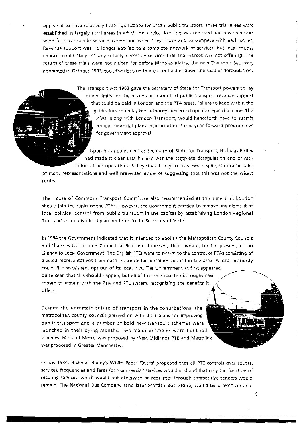appeared to have relatively little significance for urban public transport. Three trial areas were established in largely rural areas in which bus service licensing was removed and bus operators were free to provide services where and when they chose and to compete with each other. Revenue support was no longer applied to a complete network of services, but local county councils could "buy in" any sodally necessary services that the market was not offering. The results of these trtals were not waited for before Nichoias Ridiey, the new Transport Secretary appointed in October 1983, took the decision to press on further down the road of deregulation.

> The Transport Act 1983 gave the Secretary of State for Transport powers to lay down limfts for the maximum amount of public transport revenue support that could be paid in London and the PTA areas. Failure to keep within the guide-lines could lay the authority concerned open to legal chailenge. The PTAs, along with London Transport, would henceforth have to submit annual financial plans incorporating three year forward programmes for government approval.

Upon his appointment as Secretary of State for Transport, Nicholas Ridley had made it ciear that his aim was the complete deregulation and privatisation of bus operations. Ridley stuck firmly to his views in spite, it must be said,

of many representations and well presented evidence suggesting that this was not the wisest route.

The House of Commons Transport Committee also recommended at this time that London should join the ranks of the PT As. However, the government decided to remove any element of local political control from public transport in the capital by establishing London Regional Transport as a body directly accountable to the Secretary of State.

In 1984 the Government indicated that it intended to abolish the Metropolitan County Councils and the Greater London Council. In Scotland, however, there would, for the present. be no change to Local Government. The English PTEs were to return to the control of PTAs consisting of elected representatives from each metropolitan borough council in the area. A local authority could, if it so wished, opt out of its local PTA. The Government at first appeared quite keen that this should happen, but all of the metropolitan boroughs have chosen to remain with the PTA and PTE system. recognizing the benefits it offers.

Despite the uncertain future of transport in the conurbations, the metropolitan county councils pressed on with their plans for improving public transport and a number of bold new transport schemes were iaunched in their dying months. Two major examples were light rail schemes, Midland Metro was proposed by West Midlands PTE and Metrolink was proposed in Greater Manchester.

In July 1984, Nicholas Ridley's White Paper 'Buses' proposed that all PTE controls over routes, services, frequencies and fares for 'commercial' services would end and that only the function of securing services 'which would not otherwise be required' through competitive tenders would remain. The National Bus Company (and later Scottish Bus Group) would be broken up and

 $\mathbf 9$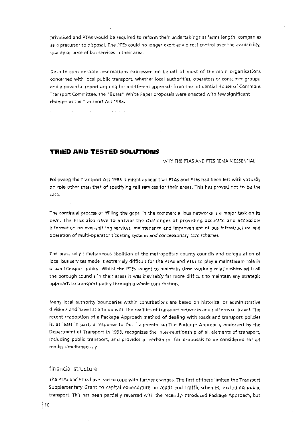privatised and PTAs would be required to reform their undertakings as 'arms length' companies as a precursor to disposal. The PTEs could no longer exert any direct control over the avaiiability, quality or price of bus services in their area.

Despite considerable reservations expressed on behalf of most of the main organisations concerned with local public transport, whether local authorities, operators or consumer groups, and a powerful report arguing for a different approach from the influential House of Commons Transport Committee, the "Buses" White Paper proposals were enacted with few significant changes as the Transport Act 1985.

TRIED AND TESTED SOLUTIONS I

and an

**Service** 

i WHY THE PTAS AND PTES REMAIN ESSENTIAL

Following the Transport Act 1985 it might appear that PTAs and PTEs had been left with virtually no role other than that of specifying rail services for their areas. This has proved not to be the case.

The corrtinual process of 'fi11ing the gaps' in the commercial bus networks is a major task on its own. The PTEs also have to answer the challenges of providing accurate and accessible information on ever-shifting services, maintenance and improvement of bus infrastructure and operation of multi-operator ticketing systems and concessionary fare schemes.

The practically simultaneous abolition of the metropolitan county councils and deregulation of local bus services made it extremely difficult for the PTAs and PTEs to play a mainstream role in urban transport policy. Whilst the PTEs sought to maintain close working relationships with all the borough councils in their areas it was inevitably far more difficult to maintain any strategic approach to transport policy through a whole conurbation.

Many local authority boundaries within conurbations are based on historical or administrative divisions and have little to do with the realities of transport networks and patterns of travel. The recent readoption of a Package Approach method of dealing with roads and transport policies is, at least in part, a response to this fragmentation.The Package Approach, endorsed by the Department of Transport in 1993. recognizes the inter-relationship of ail-elements of transport, including public transport, and provides a mechanism for proposals to be considered for all modes simultaneously.

# financial structure

The PTAs and PTEs have had to cope with further changes. The first of these limited the Transport Supplementary Grant to capitaf expenditure on roads and traffic schemes, excluding public transport. This has been partially reversed with the recently-introduced Package Approach, but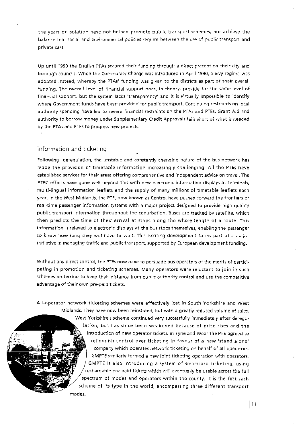**the years of isolation have not helped promote public transport schemes, nor achieve the**  b~lance **that social and environmental po[icies require between the u5e of public transport and private cars.** 

Up until 1990 the English PTAs secured their funding through a direct precept on their city and borough councils. When the Community Charge was introduced in April 1990, a levy regime was adopted instead, whereby the PTAs' funding was given to the districts as part of their overall funding. The overall level of financial support does, in theory, provide for the same level of financial support, but the system lacks 'transparency' and it is virtually impossible to identify where Government funds have been provided for public transport. Continuing restraints on local authority spending *have* led to severe financial restraints on the PT As and PTEs. Grant Aid and **authority to borrow money under Suppiementary Credit Approvals fails short of what is needed**  by the PTAs and PTEs to progress new projects.

# information and ticketing

Following deregulation, the unstable and constantly changing nature of the bus network has made the provision of timetable information increasingly challenging. All the PHs have established services for their areas offering comprehensive and independent advice on travel. The PTEs' efforts have gone well beyond this with new electronic information displays at terminals, multi-lingual information leaflets and the supply of many millions of timetable leaflets each year. In the West Midlands, the PTE, now known as Centro, have pushed forward the frontiers of real-time passenger information systems with a major project designed to provide high quality public transport information throughout the conurbation. Buses are tracked by 5atellite, which then predicts the time of their arrival at stops along the whole length of a route. This information is relayed to electronic displays at the bus stops themselves, enabling the passenger **to know how long they will have to wait. This exciting development forms part of a major** initiative in managing traffic and public transport, supported by European development funding.

Without any direct control, the PTEs now have to persuade bus operators of the merits of participating in promotion and ticketing schemes. Many operators were reluctant to join in such schemes preferring to keep their distance from public authority control and use the competitive **advantage of their own pre-paid tickets.** 

All-operator network ticketing schemes were effectively lost in South Yorkshire and West Midlands. They have now been reinstated, but with a greatly reduced volume of sales. West Yorkshire's scheme continued very successfully immediately after deregulation, but has since been weakened because of price rises and the **introduction of new operator tickets. in Tyne and VVear the PTE agreed to**  relinquish control over ticketing in favour of a new 'stand alone' company which operates network ticketing on behalf of all operators. **GMPTE similarly formed a new joint ticketing operation with operators.** GMPTE is also introducing a system of smartcard ticketing, using rechargable pre paid tickets which will eventually be usable across the full spectrum of modes and operators within the county. it is the first such scheme of its type in the world, encompassing three different transport

**modes.**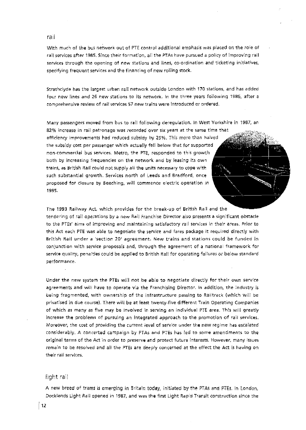#### rail

With much of the bus network out of PTE control additional emphasis was placed on the role of rail services after 1985. Since their formation, all the PTAs have pursued a policy of improving rail services through the opening of new stations and lines, co-ordination and ticketing initiatives, specifying frequent services and the financing of new rolling stock.

Strathclyde has the largest urban rail network outside London with 170 stations, and has added **four new lines and 26 new statjons to its network. ln** *the* **three years folrowing 1986, after a**  comprehensive review of rail services 57 new trains were introduced or ordered.

Many passengers moved from bus to rail following deregulation. In West Yorkshire in 1987, an

**82% increase in rail patronage was recorded over six years at the same time that**  effid~ncy **improvements had reduced sub\$idy by 25%. This more than halved**  the subsidy cost per passenger which actually fell below that for supported **non-commercial bus services\_ Metro, the PTC, responded to this growth**  both by increasing frequencies on the network and by leasing its own trains, as British Rail could not supply all the units necessary to cope with **such substantial growth. Services north of Leeds and Bradford, once proposed for closure by Beeching, wHr commence electric operation in**  1995.

The 1993 Railway Act, which provides for the break·up of British Rail and the tendering of rail operations by a new Rail Franchise Director also presents a significant obstacle **to the PTEs' aims of improving and mafntaining satisfactory rail services in their areas\_ Prlor to**  this Act each PTE was able to negotiate the service and fares package it required directly with **Brttish Rail under a 'section 20' agreement. New tratns and stations could he funded in**  conjunction with service proposals and, through the agreement of a national framework for **service qLJality, pena!tfes cou!d be a.pp!led to Brit1s:h Rail for operating failure;; or be!oy-v standard performanc:e.** 

Under the new system the PTEs will not be able to negotiate directly for their own service agreements and will have to operate via the Franchising Director. In addition, the industry is **being fragmented, with ownership of the infrastructure passing to Railtrack {which** will **be**  privatised in due course). There will be at least twenty-five different Train Operating Companies **of which as: many as five may be involved in serving an individual PTE area. This will greatly increase the problems of pursuing an integrated approach to· the promotion of rail services. Moreover, the cost of providing the current level of service under the new regime has escalated considerably. A concerted campaign by PTAs. and PTEs has fed to some amendments to the original terms of the Act in order to preserve and protect future Interests. However, many issues**  remain to be resolved and all the PTEs are deeply concerned at the effect the Act is having on **their rail services.** 

# light rail

A new breed of trams is emerging in Britain today, initiated by the PTAs and PTEs. In London, Docklands Light Rail opened in 1987, and was the first Light Rapid Transit construction since the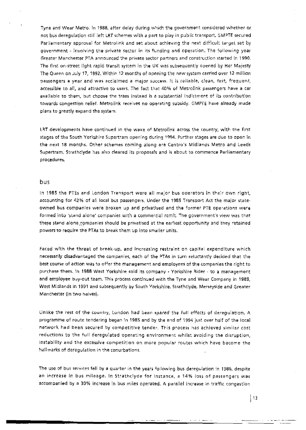Tyne and Wear Metro. In 1988, after delay during which the government considered whether or not bus deregulation still left LRT schemes with a part to play in public transport. GMPTE secured Parliamentary approval for Metrolink and set about achieving the next difficult target set by **government- involving the priva1e sector in** its **funding and operation. The following year**  Greater Manchester PTA announced the private sector partners and construction started in 1990. The first on-street light rapid transit system in the UK was subsequently opened by Her Majesty The Queen on July 17, 1992. Within 12 months of opening the new system carried over 12 million passengers a year and was acciaimed a major success. It is reliable, clean, fast, frequent, accessible to all, and attractive to users. The fact that 40% of Metrolink passengers have a car available to them, but choose the tram instead is a substantial indictment of its contribution towards congestion relief. Metrolink receives no operating subsidy. GMPTE have already made plans to greatly expand the system.

LRT developments have continued in the wake of Metrolink across the country, with the first **stages of the South Yorkshire Supertram opening during 1994. Further stages are due to open in**  the next 18 months. Other schemes coming along are Centra's Midlands Metro and Leeds Supertram. Strathclyde has also cleared its proposals and is about to commence Parliamentary **procedures.** 

#### bus

In 1985 the PTEs and London Transport *were* all major bus operators in their own right, accounting for 42% of all local bus passengers. Under the 1985 Transport Act the major stateowned bus companies were broken up and privatised and the former PTE operations were formed into 'stand alone' companies with a commercial remit. The government's view was that these stand alone;:pmpanies should be privatised at the earliest opportunity and *they* retained powers to require the PTAs to break them up into smaller units.

faced with the threat of break-up, and increasing restraint on capital expenditure which necessarily disadvantaged the companies, each of the PT As in turn reluctantly decided that the best course of action was to offer the management and employees of the companies the right to purchase them. In 1988 West Yorkshire sold its company - Yorkshire Rider - to a management and employee buy-out team. This process continued with the Tyne and Wear Company in 1989, West Midlands in 1991 and subsequently by South Yorkshire. Strathclyde, Merseyside and Greater Manchester (in two halves).

Unlike the rest of the country, London had been spared the full effects of deregulation. A programme of route tendering began in 1985 and by the end of 1994 just over half of the local **network had been secured by competitive tender. This process has achieved similar cost**  reductions to the full deregulated operating environment whilst avoiding the disruption, instability and the excessive competition on more popular routes which have become the hallmarks of deregulation in the conurbations.

The use of bus services fell by a quarter in the years following bus deregulation in 1986, despite an increase in bus mileage. In Strathclyde for instance, a 14% loss of passengers was accompanied by a 30% increase in bus miles operated. A parallel increase in traffic congestion

------------~~;;;;;;;;;;.;.\_\_:..\_:~~\_\_\_\_\_\_: ---··-·. . - -····-···---·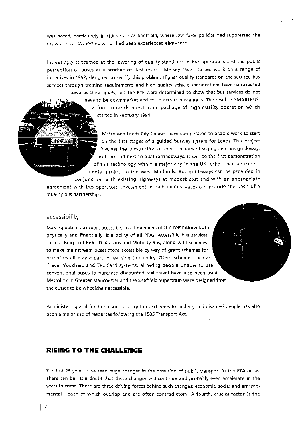was noted, particularly in cities such as Sheffield, where low fares policies had suppressed the growth in car ownership which had been experienced elsewhere.

Increasingly concerned at the lowering of quality standards in bus operations and the public perception of buses as a product of 'last resort', Merseytravel started work on a range of initiatives in 1992, designed to rectify this problem. Higher quality standards on the secured bus services through training requirement; and high quality vehicle ;pecifications have contributed towards these goals, but the PTE were determined to show that bus services do not have to be downmarket and could attract passengers. The result is SMARTBUS, a four route demonstration package of high quality operation which started in February 1994.

> Metro and Leeds City Council have co-operated to enable work to start on the first stages of a guided busway system for Leeds. This project involves the construction of short sections of segregated bus guideway, **both or. ar.d next to dual carriageways. !t wilt be the first demonstration**  of this technology within a major city in the UK, other than an experimental project in the West Midlands. Bus guideways can be provided in

conjunction with existing highways at modest cost and with an appropriate

agreement with bus operators, investment in high quality buses can provide the basis of a **'quality bus partnership<sup>1</sup> •** 

# accessibility

Making public transport accessible to all members of the community both **physically and financially, is a policy of all PTAs. Accessible bus services** such as Ring and Ride, Dial-a-bus and Mobility Bus, along with schemes to make mainstream buses more accessible by way of grant schemes for operators all play a part in realising this policy. Other schemes such as **Travel Vouchers and TaxiCard systems, allowtng people unable to use conventional buses to purchase discounted taxi travel have also been used.**  Metrolink in Greater Manchester and the Sheffield Supertram were designed from the outset to be wheelchair accessible.

**Administering and funding concessionary fare\$ schemes for elderly and disabled people has afso been a major use of resources foiiowing the i 985 Transport Act.** 

# **RISING TO THE CHALLENGE**

The last 25 years have seen huge changes in the provision of public transport in the PTA areas. There can be little doubt that these changes will continue and probably even accelerate in the years to come. There are three driving forces behind such changes; economic, social and environmental -each of which overlap and are often contradictory. A fourth, crucial factor is the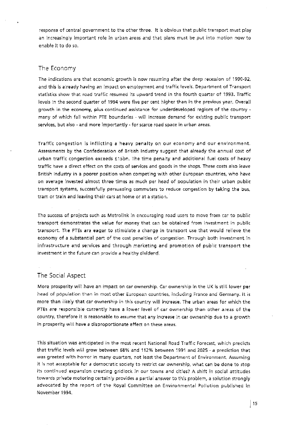response of central government to the other three. it is obvious that public transport must play an increasingly important rofe in urban areas and that plans must be put into motion now to enable it to do so.

### The Economy

The indications are that economic growth is now resuming after the deep recession of 1990-92, and this is already having an impact on employment and traffic levels. Department of Tronsport statistics show thot road traffic resumed its upword trend in the fourth quarter of 1993. Traffic levels in the second quarter of 1994 were five per cent higher than in the previous year. Overall growth in the economy, plus continued assistance for underdeveloped regions of the country  $\cdot$ many of which fall within PTE boundaries - will increase demand for existing public transport services, but also- and more importantly- for scarce road space in urban areas.

Traffic congestion is inflicting a heavy penalty on our economy and our environment. Assessments by the Confederation of British Industry suggest that already the annual cost of urban traffic congestion exceeds f15hn. The time penaity and additionai fuei costs of heavy traffic have a direct effect on the costs of services and goods in the shops. These costs also leave British Industry in a poorer position when competing with other European countries, who have on average invested almost three times as much per head of population in their urban public transport systems, successfully persuading commuters to reduce congestion by taking the bus, tram or train and leaving their cars at home or at a station.

The success of projects such as Metrolink in encouraging road users to move from car to public transport demonstrates the value for money that can be obtained frorn investment in public transport. The PTEs are eager to stimulate a change in transport use that would relieve the economy of a substantial part of the cost penalties of congestion. Through both investment in infrastructure and services and through marketing and promotion of public transport the investment in the future can provide a healthy dividend.

# The Social Aspect

More prosperity will have an impart on tar ownership. Car ownership in the UK is still lower per head of population than in most other European countries, fndudlng France and Germany. it is more than likely that car ownership in this country will increase. The urban areas for which the PTEs are responsible currently have a lower level of car ownership than other areas of the country, therefore it is reasonable to assume that any increase in car ownership due to a growth in prosperity wiH hove *a* disproportionate effect on these areas.

This situation was anticipated in the most recent National Road Traffic Forecast, which predicts that traffic levels will grow between 58% and 112% between 1991 and 2025- a prediction that was greeted with horror in many quarters, not least the Department of Environment. Assuming jt is not acceptable for a democratic: society to restrict car ownership, what can be done to stop its continued expansion creating gridlock in our towns and cities? A shift in social attitudes. towards private motoring certainly provides a partial answer to this problem, a solution strongly advocated by the report of the Royal Committee on Environmental Pollution published in November 1994.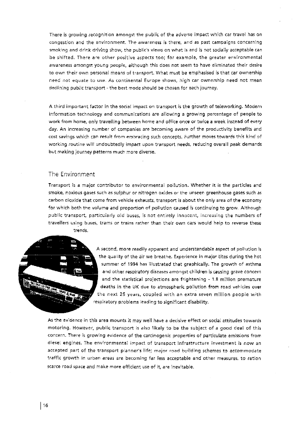There is growing recognition amongst the public of the adverse impact which car travel has on congestion and the environment. The awareness: is there, and as past campaigns concerning smoking and drink driving show, the public's views on what is and is not socially acceptable can be shifted. There are other positive aspects too; for example, the greater environmental awareness amongst young people, although this does not seem to have eliminated their desire to own their own personal means of transport. What must be emphasised is that car ownership need not equate to use. As continental Europe shows, high car ownership need not mean declining public transport- the best mode should be chosen for each journey.

A third important factor in the social impact on transport is the growth of teleworking. Modern information techno(ogy and communications are allowing a growing percentage of people to work from home, only travelling between home and office once or twice a week instead of every day. An increasing number of companies are becoming aware of the productivity benefits and cost savings which can result from embracing such concepts. Further moves towards this kind of working routine will undoubtedly impact upon transport needs. reducing overall peak demands but making journey patterns much more diverse.

# The Environment

Transport is a major contributor to environmental pollution. Whether it is the particles and smoke, noxious gases such as sufphur or nitrogen oxides or the unseen greenhouse gases such as carbon dioxide that come from vehicle exhausts, transport is about the only area of the economy for which both the volume and proportion of pollution caused is continuing to grow. Although public transport, particularly old buses, is not entirely innocent, increasing the numbers of travellers using buses, trams or trains rather than their own cars would help to reverse these trends.



A second. more readily apparent and understandable aspect of pollution is the quality of the air we breathe. Experience in major cites during the hot summer of 1994 has illustrated that graphically. The growth of asthma and other respiratory diseases amongst children is causing grave concern and the statistical projections are frightening • 1.8 million premature deaths in the UK due to atmospheric pollution from road vehicles over the next 25 years, coupled with an extra seven million people with respiratory problems leading to significant disability.

As the evidence in this area mounts it may well have a decisive effect on social attitudes towards motoring. However, public transport is also likely to be the subject of a good deal of this concern. There is growing evidence of the carcinogenic properties of particulate emissions from diesel engines. The erwironmental impact of transport infrastructure investment is now an accepted part of the transport planner's life; major road building schemes to accommodate traffic growth in urban areas are becoming far less acceptable and other measures, to ration scarce road space and make more efficient use of it, are inevitable.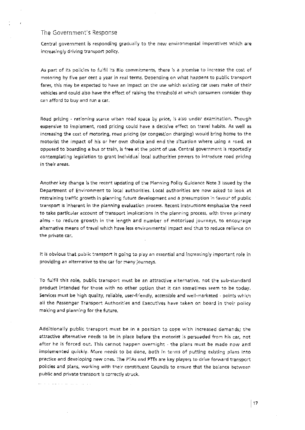### The Government's Response

. . . . . . . . . . . . . . . . .

Central government is responding gradually to the new environmental imperatives which are increasingly driving transport policy.

As part of its policies to fulfil its Rio commitments, there is a promise to increase the cost of motoring by five per cent a year in real terms. Depending on what happens to public transport fares, this may be expected to have an impact on the use which existing car users make of their vehicles and could also have the effect of raising the threshold at which consumers consider they can afford to buy and run a car.

Road pricing - rationing scarce urban road space by price, is also under examination. Though expensive to implement, road pricing could have a decisive effect on travel habits. As well as increasing the cost of motoring, road pricing (or congestion charging) would bring home to the motorist the impact of his or her own choice and end the situation where using a road, as opposed to boarding a bus or train, is free at the point of use. Central government is reportedly contemplating legislation to grant individual local authorities powers to introduce road pricing in their areas:.

Another key change is the recent updating of the Planning Policy Guidance Note 3 issued by the Department of Environment to local authorities. local authoritjes are now asked to look at restraining traffic growth in planning future development and a presumption in favour of public transport is. inherent in the planning evaluation process:. Recent instructions emphasise the need to take particular account of transport implications in the planning process, with three primary aims - to reduce growth in the length and number of motorised journeys, to encourage alternative means of travel which have less environmental impact and thus to reduce reliance on the private *car.* 

It is obvious that public transport is going to play an essential and increasingly important role in providing an alternative to the car for many journeys.

To fulfil this role, public transport must be an attractive alternative, not the sub-standard product intended for those with no other option that it can sometimes seem to be today. Services must be high quality, reliable, user-friendly, accessible and well-marketed - points which all the Passenger Transport Authorities and Executives have taken on board in their policy making and planning for the future.

Additionally public transport must be in a position to cope with increased demands; the attractive alternative needs to be in place before the motorist is persuaded from his car, not after he is forced out. This cannot happen overnight -the plans must be made now and implemented quickly. More needs to be done, both in terms of putting existing plans into practice and developing new ones. The PTAs and PTEs are key players to drive forward transport policies and plans, working with their constituent Councils to ensure that the balance between public and private transport is correctly struck.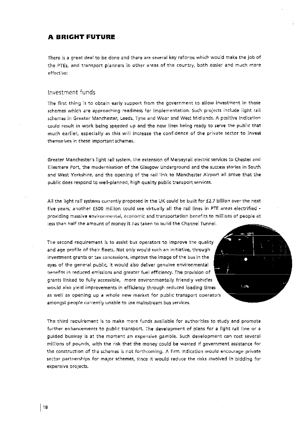# **A BRIGHT FUTURE**

There is a great deal to be done and there are several key reforms which would make the job of the PTEs, and transport planners in other areas of the country, both easier and much more **effective:** 

# Investment funds

The first thing is to obtain early support from the government to allow investment in those schemes which are approaching readiness for implementation. Such projects include light rail **schemes in Greater Manchester1 Leeds, Tyne and \l'.Jear and \"/est** ~./!id!a."lds. **A positive indication**  could result in work being speeded up and the new lines being ready to serve the public that much earlier, especially as this will increase the confidence of the private sector to invest **themselves in these important schemes.** 

Greater Manchester's light rail system, the extension of Merseyrail electric services to Chester and Ellesmere Port, the modernisation of the Glasgow Underground and the success stories in South and West Yorkshire, and the opening of the rail link to Manchester Airport all prove that the public does respond to well-planned, high quality public transport services.

All the light rail systems currently proposed in the UK could be built for £2.7 billion over the next five years; another £500 million could see virtually all the rail lines in PTE areas electrified **providing massive environmental, economic and tran.sportation benefits to mitlions of people at**  less than half the amount of money it has taken to build the Channel Tunnel.

The second requirement is to assist bus operators to improve the quality and age profile of their fleets. Not only would such an initiative, through investment grants or tax concessions, improve the image of the bus in the eyes of the general public, it would also deliver genuine environmental benefits in reduced emissions and greater fuel efficiency. The provision of grants linked to fully accessible, more environmentally friendly vehicles would also yield improvements in efficiency through reduced loading times as well as opening up a whole new market for public transport operators **amongst people currently unable to use mainstream bus services:.** 

The third requirement is to make more funds available for authorities to study and promote further enhancements to public transport. The development of plans for a light rail line or a guided busway is at the moment an expensive gamble. Such development can cost several millions of pounds, with the risk that the money could be wasted if government assistance for the construction of the schemes is not forthcoming. A firm indication would encourage private **sec:tor partners.hlps for major schemesr .since it would reduce the risks involved in bidding for**  expensive projects.

 $\sim 20$